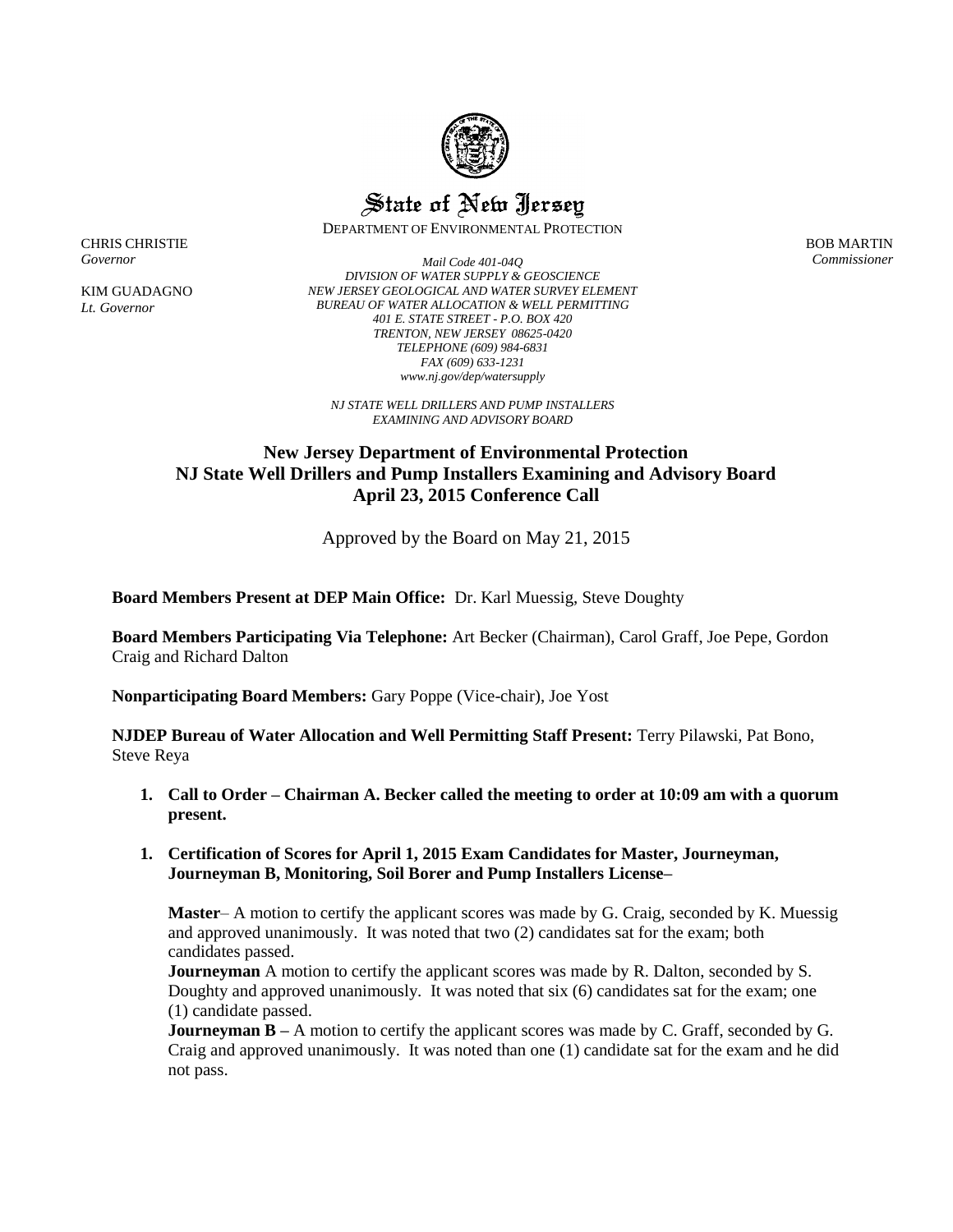

State of New Jersey

DEPARTMENT OF ENVIRONMENTAL PROTECTION

BOB MARTIN *Commissioner*

CHRIS CHRISTIE *Governor*

KIM GUADAGNO *Lt. Governor*

*Mail Code 401-04Q DIVISION OF WATER SUPPLY & GEOSCIENCE NEW JERSEY GEOLOGICAL AND WATER SURVEY ELEMENT BUREAU OF WATER ALLOCATION & WELL PERMITTING 401 E. STATE STREET - P.O. BOX 420 TRENTON, NEW JERSEY 08625-0420 TELEPHONE (609) 984-6831 FAX (609) 633-1231 www.nj.gov/dep/watersupply*

*NJ STATE WELL DRILLERS AND PUMP INSTALLERS EXAMINING AND ADVISORY BOARD*

## **New Jersey Department of Environmental Protection NJ State Well Drillers and Pump Installers Examining and Advisory Board April 23, 2015 Conference Call**

Approved by the Board on May 21, 2015

**Board Members Present at DEP Main Office:** Dr. Karl Muessig, Steve Doughty

**Board Members Participating Via Telephone:** Art Becker (Chairman), Carol Graff, Joe Pepe, Gordon Craig and Richard Dalton

**Nonparticipating Board Members:** Gary Poppe (Vice-chair), Joe Yost

**NJDEP Bureau of Water Allocation and Well Permitting Staff Present:** Terry Pilawski, Pat Bono, Steve Reya

**1. Call to Order – Chairman A. Becker called the meeting to order at 10:09 am with a quorum present.**

## **1. Certification of Scores for April 1, 2015 Exam Candidates for Master, Journeyman, Journeyman B, Monitoring, Soil Borer and Pump Installers License–**

**Master**– A motion to certify the applicant scores was made by G. Craig, seconded by K. Muessig and approved unanimously. It was noted that two (2) candidates sat for the exam; both candidates passed.

**Journeyman** A motion to certify the applicant scores was made by R. Dalton, seconded by S. Doughty and approved unanimously. It was noted that six (6) candidates sat for the exam; one (1) candidate passed.

**Journeyman B** – A motion to certify the applicant scores was made by C. Graff, seconded by G. Craig and approved unanimously. It was noted than one (1) candidate sat for the exam and he did not pass.